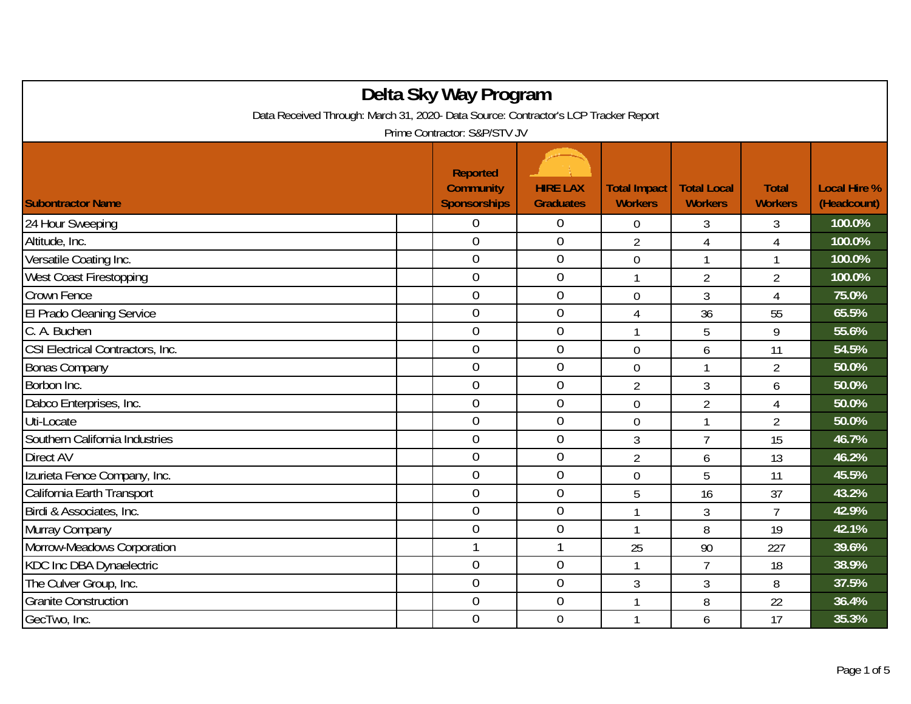| Delta Sky Way Program                                                               |  |                                                            |                                     |                                       |                                      |                                |                                    |  |
|-------------------------------------------------------------------------------------|--|------------------------------------------------------------|-------------------------------------|---------------------------------------|--------------------------------------|--------------------------------|------------------------------------|--|
| Data Received Through: March 31, 2020- Data Source: Contractor's LCP Tracker Report |  |                                                            |                                     |                                       |                                      |                                |                                    |  |
| Prime Contractor: S&P/STV JV                                                        |  |                                                            |                                     |                                       |                                      |                                |                                    |  |
| <b>Subontractor Name</b>                                                            |  | <b>Reported</b><br><b>Community</b><br><b>Sponsorships</b> | <b>HIRE LAX</b><br><b>Graduates</b> | <b>Total Impact</b><br><b>Workers</b> | <b>Total Local</b><br><b>Workers</b> | <b>Total</b><br><b>Workers</b> | <b>Local Hire %</b><br>(Headcount) |  |
| 24 Hour Sweeping                                                                    |  | 0                                                          | $\overline{0}$                      | $\overline{0}$                        | 3                                    | 3                              | 100.0%                             |  |
| Altitude, Inc.                                                                      |  | $\overline{0}$                                             | $\boldsymbol{0}$                    | $\overline{2}$                        | $\overline{4}$                       | 4                              | 100.0%                             |  |
| Versatile Coating Inc.                                                              |  | $\overline{0}$                                             | $\boldsymbol{0}$                    | $\boldsymbol{0}$                      | 1                                    | $\mathbf{1}$                   | 100.0%                             |  |
| West Coast Firestopping                                                             |  | $\overline{0}$                                             | $\overline{0}$                      | 1                                     | $\overline{2}$                       | $\overline{2}$                 | 100.0%                             |  |
| Crown Fence                                                                         |  | $\overline{0}$                                             | $\theta$                            | $\overline{0}$                        | 3                                    | 4                              | 75.0%                              |  |
| El Prado Cleaning Service                                                           |  | $\overline{0}$                                             | $\theta$                            | $\overline{4}$                        | 36                                   | 55                             | 65.5%                              |  |
| C. A. Buchen                                                                        |  | $\overline{0}$                                             | $\boldsymbol{0}$                    |                                       | 5                                    | 9                              | 55.6%                              |  |
| CSI Electrical Contractors, Inc.                                                    |  | $\overline{0}$                                             | $\mathbf 0$                         | $\overline{0}$                        | 6                                    | 11                             | 54.5%                              |  |
| <b>Bonas Company</b>                                                                |  | $\overline{0}$                                             | $\overline{0}$                      | $\mathbf 0$                           | 1                                    | $\overline{2}$                 | 50.0%                              |  |
| Borbon Inc.                                                                         |  | $\overline{0}$                                             | $\overline{0}$                      | $\overline{2}$                        | 3                                    | 6                              | 50.0%                              |  |
| Dabco Enterprises, Inc.                                                             |  | $\overline{0}$                                             | $\boldsymbol{0}$                    | $\mathbf 0$                           | $\overline{2}$                       | $\overline{4}$                 | 50.0%                              |  |
| Uti-Locate                                                                          |  | $\overline{0}$                                             | $\overline{0}$                      | $\boldsymbol{0}$                      | 1                                    | $\overline{2}$                 | 50.0%                              |  |
| Southern California Industries                                                      |  | $\overline{0}$                                             | $\overline{0}$                      | 3                                     | $\overline{7}$                       | 15                             | 46.7%                              |  |
| Direct AV                                                                           |  | $\overline{0}$                                             | $\theta$                            | $\overline{2}$                        | 6                                    | 13                             | 46.2%                              |  |
| Izurieta Fence Company, Inc.                                                        |  | $\overline{0}$                                             | $\overline{0}$                      | 0                                     | 5                                    | 11                             | 45.5%                              |  |
| California Earth Transport                                                          |  | $\overline{0}$                                             | $\boldsymbol{0}$                    | 5                                     | 16                                   | 37                             | 43.2%                              |  |
| Birdi & Associates, Inc.                                                            |  | $\overline{0}$                                             | $\mathbf 0$                         | $\mathbf{1}$                          | $\overline{3}$                       | $\overline{7}$                 | 42.9%                              |  |
| Murray Company                                                                      |  | 0                                                          | $\boldsymbol{0}$                    | $\mathbf{1}$                          | 8                                    | 19                             | 42.1%                              |  |
| Morrow-Meadows Corporation                                                          |  | 1                                                          | $\mathbf{1}$                        | 25                                    | 90                                   | 227                            | 39.6%                              |  |
| KDC Inc DBA Dynaelectric                                                            |  | $\boldsymbol{0}$                                           | $\boldsymbol{0}$                    | $\mathbf{1}$                          | $\overline{7}$                       | 18                             | 38.9%                              |  |
| The Culver Group, Inc.                                                              |  | $\overline{0}$                                             | $\overline{0}$                      | 3                                     | 3                                    | 8                              | 37.5%                              |  |
| <b>Granite Construction</b>                                                         |  | $\overline{0}$                                             | $\mathbf 0$                         |                                       | 8                                    | 22                             | 36.4%                              |  |
| GecTwo, Inc.                                                                        |  | $\overline{0}$                                             | $\mathbf 0$                         |                                       | 6                                    | 17                             | 35.3%                              |  |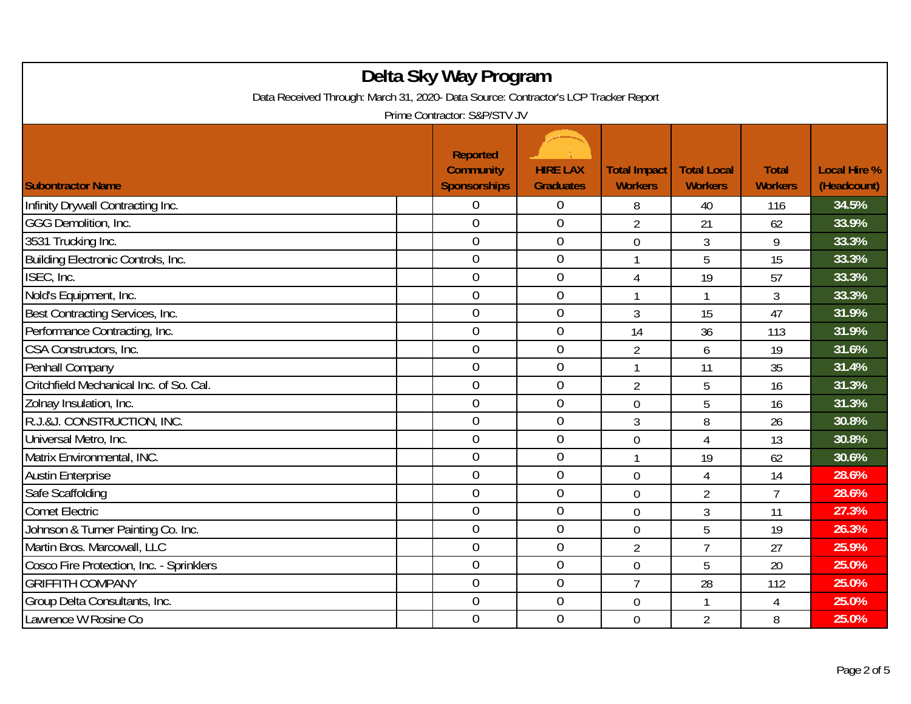| Delta Sky Way Program<br>Data Received Through: March 31, 2020- Data Source: Contractor's LCP Tracker Report |  |                                                            |                                     |                                       |                                      |                                |                                    |  |
|--------------------------------------------------------------------------------------------------------------|--|------------------------------------------------------------|-------------------------------------|---------------------------------------|--------------------------------------|--------------------------------|------------------------------------|--|
| Prime Contractor: S&P/STV JV                                                                                 |  |                                                            |                                     |                                       |                                      |                                |                                    |  |
| <b>Subontractor Name</b>                                                                                     |  | <b>Reported</b><br><b>Community</b><br><b>Sponsorships</b> | <b>HIRE LAX</b><br><b>Graduates</b> | <b>Total Impact</b><br><b>Workers</b> | <b>Total Local</b><br><b>Workers</b> | <b>Total</b><br><b>Workers</b> | <b>Local Hire %</b><br>(Headcount) |  |
| Infinity Drywall Contracting Inc.                                                                            |  | 0                                                          | $\overline{0}$                      | 8                                     | 40                                   | 116                            | 34.5%                              |  |
| GGG Demolition, Inc.                                                                                         |  | $\overline{0}$                                             | $\overline{0}$                      | $\overline{2}$                        | 21                                   | 62                             | 33.9%                              |  |
| 3531 Trucking Inc.                                                                                           |  | $\overline{0}$                                             | $\boldsymbol{0}$                    | $\overline{0}$                        | $\mathfrak{Z}$                       | 9                              | 33.3%                              |  |
| Building Electronic Controls, Inc.                                                                           |  | $\overline{0}$                                             | $\mathbf 0$                         | $\mathbf{1}$                          | 5                                    | 15                             | 33.3%                              |  |
| ISEC, Inc.                                                                                                   |  | $\overline{0}$                                             | $\overline{0}$                      | 4                                     | 19                                   | 57                             | 33.3%                              |  |
| Nold's Equipment, Inc.                                                                                       |  | $\mathbf 0$                                                | $\mathbf 0$                         |                                       | 1                                    | 3                              | 33.3%                              |  |
| Best Contracting Services, Inc.                                                                              |  | $\overline{0}$                                             | $\overline{0}$                      | 3                                     | 15                                   | 47                             | 31.9%                              |  |
| Performance Contracting, Inc.                                                                                |  | $\overline{0}$                                             | $\mathbf 0$                         | 14                                    | 36                                   | 113                            | 31.9%                              |  |
| CSA Constructors, Inc.                                                                                       |  | $\overline{0}$                                             | $\boldsymbol{0}$                    | $\overline{2}$                        | 6                                    | 19                             | 31.6%                              |  |
| Penhall Company                                                                                              |  | $\overline{0}$                                             | $\mathbf 0$                         | $\mathbf{1}$                          | 11                                   | 35                             | 31.4%                              |  |
| Critchfield Mechanical Inc. of So. Cal.                                                                      |  | $\overline{0}$                                             | $\mathbf 0$                         | $\overline{2}$                        | 5                                    | 16                             | 31.3%                              |  |
| Zolnay Insulation, Inc.                                                                                      |  | $\overline{0}$                                             | $\mathbf 0$                         | $\overline{0}$                        | 5                                    | 16                             | 31.3%                              |  |
| R.J.&J. CONSTRUCTION, INC.                                                                                   |  | $\overline{0}$                                             | $\overline{0}$                      | 3                                     | 8                                    | 26                             | 30.8%                              |  |
| Universal Metro, Inc.                                                                                        |  | $\overline{0}$                                             | $\mathbf 0$                         | $\mathbf 0$                           | $\overline{4}$                       | 13                             | 30.8%                              |  |
| Matrix Environmental, INC.                                                                                   |  | $\mathbf 0$                                                | $\boldsymbol{0}$                    | 1                                     | 19                                   | 62                             | 30.6%                              |  |
| <b>Austin Enterprise</b>                                                                                     |  | $\overline{0}$                                             | $\mathbf 0$                         | $\overline{0}$                        | $\overline{4}$                       | 14                             | 28.6%                              |  |
| Safe Scaffolding                                                                                             |  | $\overline{0}$                                             | $\mathbf 0$                         | $\overline{0}$                        | $\overline{2}$                       | $\overline{7}$                 | 28.6%                              |  |
| <b>Comet Electric</b>                                                                                        |  | $\overline{0}$                                             | $\boldsymbol{0}$                    | $\mathbf 0$                           | 3                                    | 11                             | 27.3%                              |  |
| Johnson & Turner Painting Co. Inc.                                                                           |  | $\overline{0}$                                             | $\mathbf 0$                         | $\overline{0}$                        | 5                                    | 19                             | 26.3%                              |  |
| Martin Bros. Marcowall, LLC                                                                                  |  | $\overline{0}$                                             | $\boldsymbol{0}$                    | $\overline{2}$                        | $\overline{7}$                       | 27                             | 25.9%                              |  |
| Cosco Fire Protection, Inc. - Sprinklers                                                                     |  | $\mathbf 0$                                                | $\mathbf 0$                         | $\overline{0}$                        | 5                                    | 20                             | 25.0%                              |  |
| <b>GRIFFITH COMPANY</b>                                                                                      |  | $\overline{0}$                                             | $\overline{0}$                      | $\overline{7}$                        | 28                                   | 112                            | 25.0%                              |  |
| Group Delta Consultants, Inc.                                                                                |  | $\boldsymbol{0}$                                           | $\boldsymbol{0}$                    | $\mathbf 0$                           | 1                                    | 4                              | 25.0%                              |  |
| Lawrence W Rosine Co                                                                                         |  | $\overline{0}$                                             | $\mathbf 0$                         | $\overline{0}$                        | $\overline{2}$                       | 8                              | 25.0%                              |  |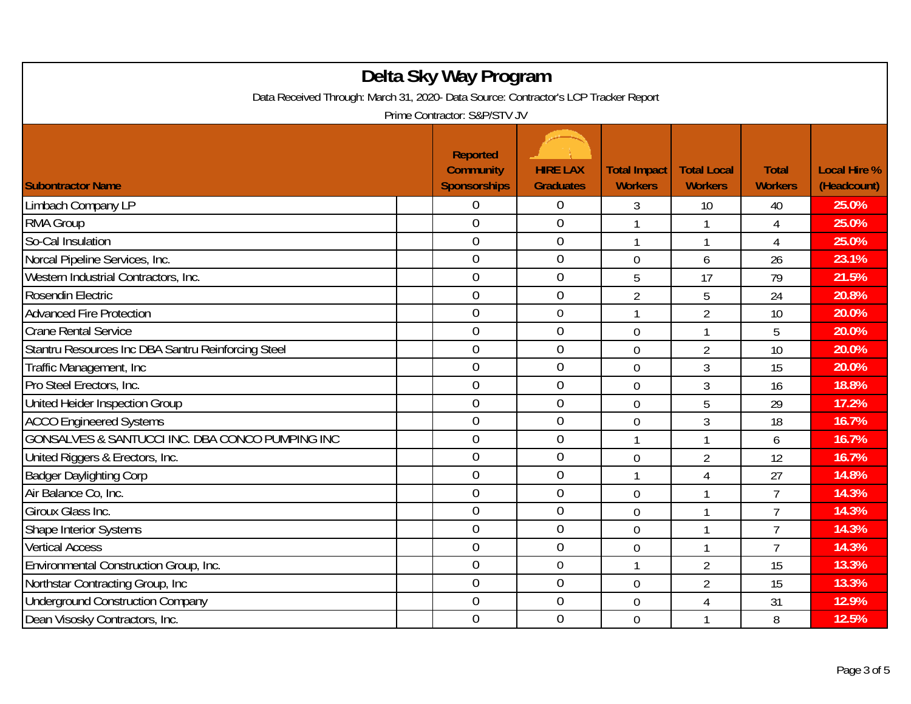| Delta Sky Way Program<br>Data Received Through: March 31, 2020- Data Source: Contractor's LCP Tracker Report<br>Prime Contractor: S&P/STV JV |                                                            |                                     |                                       |                                      |                                |                                    |  |  |
|----------------------------------------------------------------------------------------------------------------------------------------------|------------------------------------------------------------|-------------------------------------|---------------------------------------|--------------------------------------|--------------------------------|------------------------------------|--|--|
| <b>Subontractor Name</b>                                                                                                                     | <b>Reported</b><br><b>Community</b><br><b>Sponsorships</b> | <b>HIRE LAX</b><br><b>Graduates</b> | <b>Total Impact</b><br><b>Workers</b> | <b>Total Local</b><br><b>Workers</b> | <b>Total</b><br><b>Workers</b> | <b>Local Hire %</b><br>(Headcount) |  |  |
| Limbach Company LP                                                                                                                           | 0                                                          | $\overline{0}$                      | 3                                     | 10                                   | 40                             | 25.0%                              |  |  |
| RMA Group                                                                                                                                    | $\overline{0}$                                             | $\overline{0}$                      |                                       | 1                                    | 4                              | 25.0%                              |  |  |
| So-Cal Insulation                                                                                                                            | $\mathbf 0$                                                | $\boldsymbol{0}$                    | 1                                     | 1                                    | 4                              | 25.0%                              |  |  |
| Norcal Pipeline Services, Inc.                                                                                                               | $\mathbf 0$                                                | $\boldsymbol{0}$                    | $\mathbf 0$                           | 6                                    | 26                             | 23.1%                              |  |  |
| Western Industrial Contractors, Inc.                                                                                                         | $\overline{0}$                                             | $\mathbf 0$                         | 5                                     | 17                                   | 79                             | 21.5%                              |  |  |
| Rosendin Electric                                                                                                                            | $\overline{0}$                                             | $\mathbf 0$                         | $\overline{2}$                        | 5                                    | 24                             | 20.8%                              |  |  |
| <b>Advanced Fire Protection</b>                                                                                                              | $\overline{0}$                                             | $\overline{0}$                      | $\mathbf{1}$                          | $\overline{2}$                       | 10                             | 20.0%                              |  |  |
| <b>Crane Rental Service</b>                                                                                                                  | $\overline{0}$                                             | $\mathbf 0$                         | $\mathbf 0$                           | 1                                    | 5                              | 20.0%                              |  |  |
| Stantru Resources Inc DBA Santru Reinforcing Steel                                                                                           | $\mathbf 0$                                                | $\boldsymbol{0}$                    | $\mathbf 0$                           | $\overline{2}$                       | 10                             | 20.0%                              |  |  |
| Traffic Management, Inc.                                                                                                                     | $\overline{0}$                                             | $\overline{0}$                      | $\overline{0}$                        | 3                                    | 15                             | 20.0%                              |  |  |
| Pro Steel Erectors, Inc.                                                                                                                     | $\overline{0}$                                             | $\overline{0}$                      | $\overline{0}$                        | 3                                    | 16                             | 18.8%                              |  |  |
| United Heider Inspection Group                                                                                                               | $\overline{0}$                                             | $\boldsymbol{0}$                    | $\overline{0}$                        | 5                                    | 29                             | 17.2%                              |  |  |
| <b>ACCO Engineered Systems</b>                                                                                                               | $\mathbf 0$                                                | $\overline{0}$                      | $\mathbf 0$                           | 3                                    | 18                             | 16.7%                              |  |  |
| GONSALVES & SANTUCCI INC. DBA CONCO PUMPING INC                                                                                              | $\overline{0}$                                             | $\mathbf 0$                         | $\mathbf{1}$                          | 1                                    | 6                              | 16.7%                              |  |  |
| United Riggers & Erectors, Inc.                                                                                                              | $\mathbf 0$                                                | $\boldsymbol{0}$                    | $\mathbf 0$                           | $\overline{2}$                       | 12                             | 16.7%                              |  |  |
| <b>Badger Daylighting Corp</b>                                                                                                               | $\overline{0}$                                             | $\mathbf 0$                         | $\mathbf{1}$                          | $\overline{4}$                       | 27                             | 14.8%                              |  |  |
| Air Balance Co. Inc.                                                                                                                         | $\overline{0}$                                             | $\overline{0}$                      | $\mathbf 0$                           | $\mathbf{1}$                         | $\overline{7}$                 | 14.3%                              |  |  |
| Giroux Glass Inc.                                                                                                                            | $\overline{0}$                                             | $\overline{0}$                      | $\mathbf 0$                           | 1                                    | $\overline{1}$                 | 14.3%                              |  |  |
| Shape Interior Systems                                                                                                                       | $\overline{0}$                                             | $\mathbf 0$                         | $\overline{0}$                        | 1                                    | $\overline{7}$                 | 14.3%                              |  |  |
| <b>Vertical Access</b>                                                                                                                       | $\mathbf 0$                                                | $\boldsymbol{0}$                    | $\mathbf 0$                           | $\mathbf{1}$                         | $\overline{7}$                 | 14.3%                              |  |  |
| Environmental Construction Group, Inc.                                                                                                       | $\overline{0}$                                             | $\mathbf 0$                         | $\mathbf{1}$                          | $\overline{2}$                       | 15                             | 13.3%                              |  |  |
| Northstar Contracting Group, Inc.                                                                                                            | $\overline{0}$                                             | $\overline{0}$                      | $\mathbf 0$                           | $\overline{2}$                       | 15                             | 13.3%                              |  |  |
| <b>Underground Construction Company</b>                                                                                                      | $\boldsymbol{0}$                                           | $\boldsymbol{0}$                    | $\mathbf 0$                           | 4                                    | 31                             | 12.9%                              |  |  |
| Dean Visosky Contractors, Inc.                                                                                                               | $\overline{0}$                                             | $\mathbf 0$                         | $\overline{0}$                        | 1                                    | 8                              | 12.5%                              |  |  |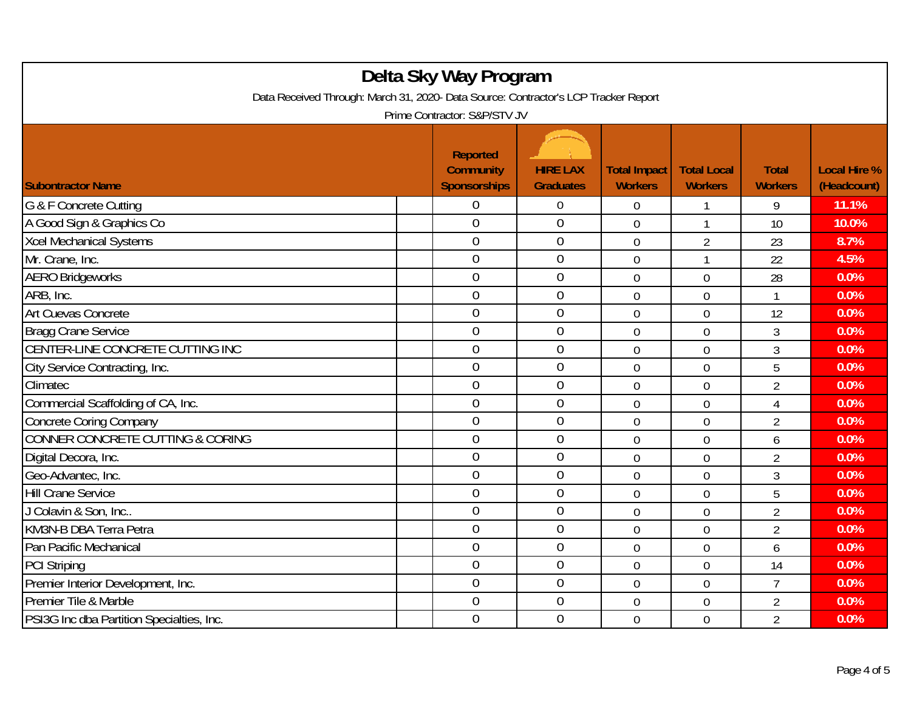| Delta Sky Way Program<br>Data Received Through: March 31, 2020- Data Source: Contractor's LCP Tracker Report |  |                                                            |                                     |                                       |                                      |                                |                                    |  |  |
|--------------------------------------------------------------------------------------------------------------|--|------------------------------------------------------------|-------------------------------------|---------------------------------------|--------------------------------------|--------------------------------|------------------------------------|--|--|
| Prime Contractor: S&P/STV JV                                                                                 |  |                                                            |                                     |                                       |                                      |                                |                                    |  |  |
| <b>Subontractor Name</b>                                                                                     |  | <b>Reported</b><br><b>Community</b><br><b>Sponsorships</b> | <b>HIRE LAX</b><br><b>Graduates</b> | <b>Total Impact</b><br><b>Workers</b> | <b>Total Local</b><br><b>Workers</b> | <b>Total</b><br><b>Workers</b> | <b>Local Hire %</b><br>(Headcount) |  |  |
| G & F Concrete Cutting                                                                                       |  | 0                                                          | $\overline{0}$                      | 0                                     |                                      | 9                              | 11.1%                              |  |  |
| A Good Sign & Graphics Co                                                                                    |  | $\overline{0}$                                             | $\boldsymbol{0}$                    | $\overline{0}$                        | 1                                    | 10                             | 10.0%                              |  |  |
| <b>Xcel Mechanical Systems</b>                                                                               |  | $\boldsymbol{0}$                                           | $\boldsymbol{0}$                    | $\mathbf 0$                           | $\overline{2}$                       | 23                             | 8.7%                               |  |  |
| Mr. Crane, Inc.                                                                                              |  | $\mathbf 0$                                                | $\mathbf 0$                         | $\mathbf 0$                           | $\mathbf{1}$                         | 22                             | 4.5%                               |  |  |
| <b>AERO Bridgeworks</b>                                                                                      |  | $\overline{0}$                                             | $\mathbf 0$                         | $\overline{0}$                        | $\overline{0}$                       | 28                             | 0.0%                               |  |  |
| ARB, Inc.                                                                                                    |  | $\overline{0}$                                             | $\mathbf 0$                         | $\mathbf 0$                           | $\mathbf 0$                          | $\mathbf{1}$                   | 0.0%                               |  |  |
| Art Cuevas Concrete                                                                                          |  | $\mathbf 0$                                                | $\mathbf 0$                         | $\overline{0}$                        | $\mathbf 0$                          | 12                             | 0.0%                               |  |  |
| <b>Bragg Crane Service</b>                                                                                   |  | $\overline{0}$                                             | $\mathbf 0$                         | 0                                     | $\mathbf 0$                          | 3                              | 0.0%                               |  |  |
| CENTER-LINE CONCRETE CUTTING INC                                                                             |  | $\boldsymbol{0}$                                           | $\boldsymbol{0}$                    | 0                                     | $\mathbf 0$                          | 3                              | 0.0%                               |  |  |
| City Service Contracting, Inc.                                                                               |  | 0                                                          | $\boldsymbol{0}$                    | $\mathbf 0$                           | $\mathbf 0$                          | 5                              | 0.0%                               |  |  |
| Climatec                                                                                                     |  | $\overline{0}$                                             | $\mathbf 0$                         | $\overline{0}$                        | $\overline{0}$                       | $\overline{2}$                 | 0.0%                               |  |  |
| Commercial Scaffolding of CA, Inc.                                                                           |  | $\overline{0}$                                             | $\mathbf 0$                         | $\overline{0}$                        | $\overline{0}$                       | $\overline{4}$                 | 0.0%                               |  |  |
| <b>Concrete Coring Company</b>                                                                               |  | $\overline{0}$                                             | $\boldsymbol{0}$                    | $\mathbf 0$                           | $\mathbf 0$                          | $\overline{2}$                 | 0.0%                               |  |  |
| CONNER CONCRETE CUTTING & CORING                                                                             |  | $\overline{0}$                                             | $\boldsymbol{0}$                    | $\overline{0}$                        | $\mathbf 0$                          | 6                              | 0.0%                               |  |  |
| Digital Decora, Inc.                                                                                         |  | $\mathbf 0$                                                | $\boldsymbol{0}$                    | $\mathbf 0$                           | $\mathbf 0$                          | $\overline{2}$                 | 0.0%                               |  |  |
| Geo-Advantec, Inc.                                                                                           |  | $\overline{0}$                                             | $\mathbf 0$                         | $\overline{0}$                        | $\overline{0}$                       | 3                              | 0.0%                               |  |  |
| <b>Hill Crane Service</b>                                                                                    |  | $\mathbf 0$                                                | $\mathbf 0$                         | $\overline{0}$                        | $\mathbf 0$                          | 5                              | 0.0%                               |  |  |
| J Colavin & Son, Inc                                                                                         |  | $\overline{0}$                                             | $\mathbf 0$                         | $\overline{0}$                        | $\overline{0}$                       | $\overline{2}$                 | 0.0%                               |  |  |
| KM3N-B DBA Terra Petra                                                                                       |  | $\overline{0}$                                             | $\mathbf 0$                         | $\overline{0}$                        | $\overline{0}$                       | $\overline{2}$                 | 0.0%                               |  |  |
| Pan Pacific Mechanical                                                                                       |  | $\mathbf 0$                                                | $\mathbf 0$                         | $\boldsymbol{0}$                      | $\boldsymbol{0}$                     | 6                              | 0.0%                               |  |  |
| <b>PCI Striping</b>                                                                                          |  | $\mathbf 0$                                                | $\boldsymbol{0}$                    | $\mathbf 0$                           | $\mathbf 0$                          | 14                             | 0.0%                               |  |  |
| Premier Interior Development, Inc.                                                                           |  | $\overline{0}$                                             | $\mathbf 0$                         | 0                                     | $\mathbf 0$                          | $\overline{7}$                 | 0.0%                               |  |  |
| Premier Tile & Marble                                                                                        |  | $\overline{0}$                                             | $\boldsymbol{0}$                    | $\overline{0}$                        | $\mathbf 0$                          | $\overline{2}$                 | 0.0%                               |  |  |
| PSI3G Inc dba Partition Specialties, Inc.                                                                    |  | $\mathbf 0$                                                | $\mathbf 0$                         | $\overline{0}$                        | $\mathbf 0$                          | $\overline{2}$                 | 0.0%                               |  |  |